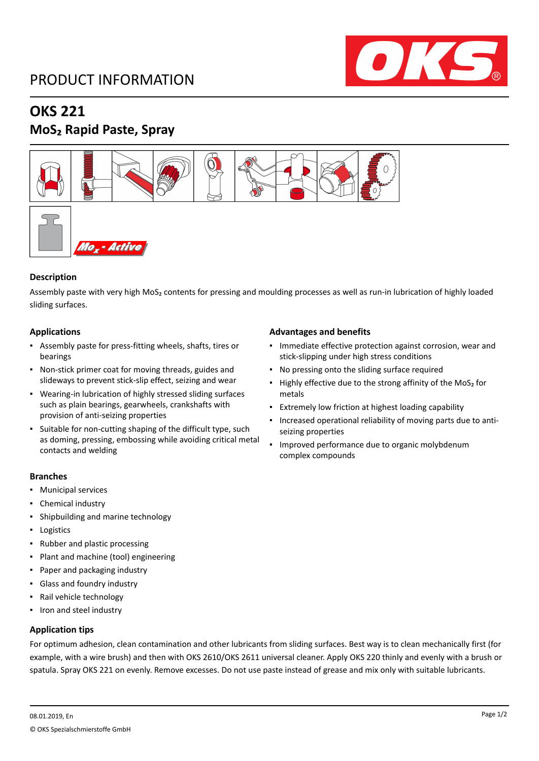## PRODUCT INFORMATION



### **OKS 221**

### **MoS₂ Rapid Paste, Spray**



#### **Description**

Assembly paste with very high MoS₂ contents for pressing and moulding processes as well as run-in lubrication of highly loaded sliding surfaces.

#### **Applications**

- Assembly paste for press-fitting wheels, shafts, tires or bearings
- Non-stick primer coat for moving threads, guides and slideways to prevent stick-slip effect, seizing and wear
- Wearing-in lubrication of highly stressed sliding surfaces such as plain bearings, gearwheels, crankshafts with provision of anti-seizing properties
- Suitable for non-cutting shaping of the difficult type, such as doming, pressing, embossing while avoiding critical metal contacts and welding

#### **Branches**

- Municipal services
- Chemical industry
- Shipbuilding and marine technology
- Logistics
- Rubber and plastic processing
- Plant and machine (tool) engineering
- Paper and packaging industry
- Glass and foundry industry
- Rail vehicle technology
- Iron and steel industry

#### **Application tips**

#### **Advantages and benefits**

- Immediate effective protection against corrosion, wear and stick-slipping under high stress conditions
- No pressing onto the sliding surface required
- Highly effective due to the strong affinity of the MoS<sub>2</sub> for metals
- Extremely low friction at highest loading capability
- Increased operational reliability of moving parts due to antiseizing properties
- Improved performance due to organic molybdenum complex compounds

For optimum adhesion, clean contamination and other lubricants from sliding surfaces. Best way is to clean mechanically first (for example, with a wire brush) and then with OKS 2610/OKS 2611 universal cleaner. Apply OKS 220 thinly and evenly with a brush or spatula. Spray OKS 221 on evenly. Remove excesses. Do not use paste instead of grease and mix only with suitable lubricants.